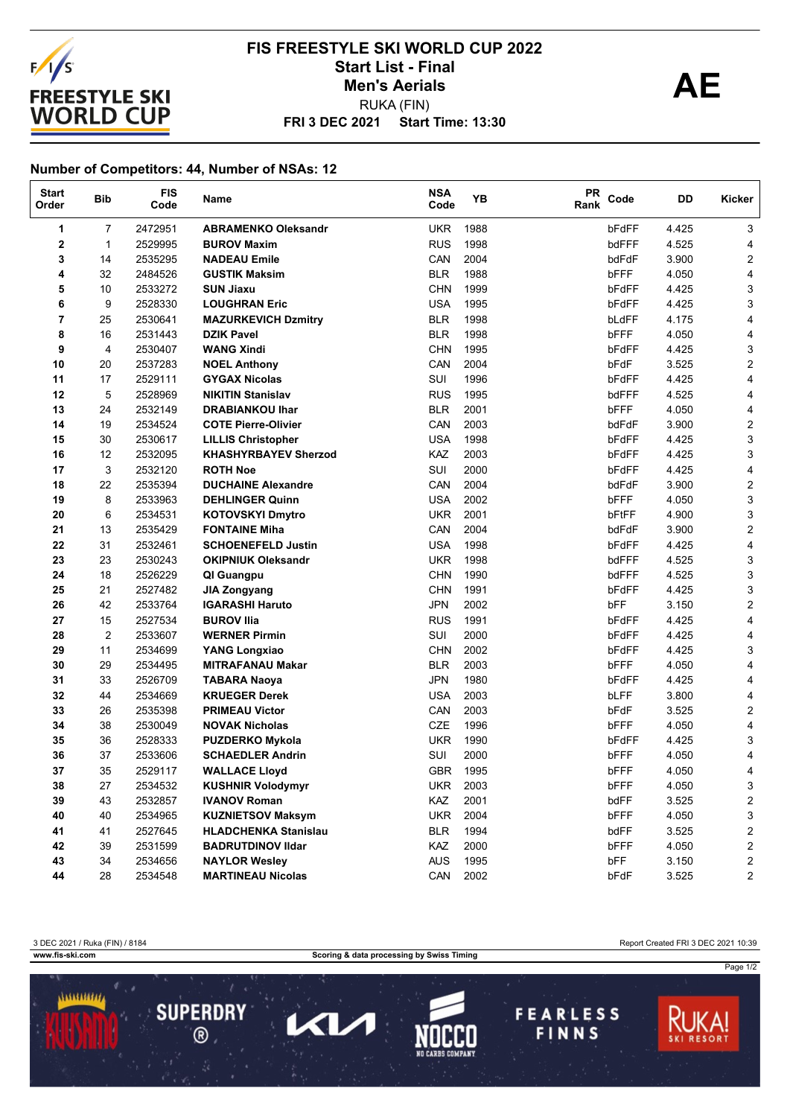

## **FRI 3 DEC 2021 Start Time: 13:30 FIS FREESTYLE SKI WORLD CUP 2022** Start List - Final<br>
Men's Aerials **AE** RUKA (FIN) **Men's Aerials**

## **Number of Competitors: 44, Number of NSAs: 12**

| <b>Start</b><br>Order | <b>Bib</b>     | <b>FIS</b><br>Code | Name                        | <b>NSA</b><br>Code | YB   | <b>PR</b><br>Rank | Code        | DD    | Kicker                  |
|-----------------------|----------------|--------------------|-----------------------------|--------------------|------|-------------------|-------------|-------|-------------------------|
| 1                     | 7              | 2472951            | <b>ABRAMENKO Oleksandr</b>  | <b>UKR</b>         | 1988 |                   | bFdFF       | 4.425 | 3                       |
| 2                     | $\mathbf{1}$   | 2529995            | <b>BUROV Maxim</b>          | <b>RUS</b>         | 1998 |                   | bdFFF       | 4.525 | 4                       |
| 3                     | 14             | 2535295            | <b>NADEAU Emile</b>         | CAN                | 2004 |                   | bdFdF       | 3.900 | $\overline{c}$          |
| 4                     | 32             | 2484526            | <b>GUSTIK Maksim</b>        | <b>BLR</b>         | 1988 |                   | bFFF        | 4.050 | 4                       |
| 5                     | 10             | 2533272            | <b>SUN Jiaxu</b>            | <b>CHN</b>         | 1999 |                   | bFdFF       | 4.425 | 3                       |
| 6                     | 9              | 2528330            | <b>LOUGHRAN Eric</b>        | <b>USA</b>         | 1995 |                   | bFdFF       | 4.425 | 3                       |
| 7                     | 25             | 2530641            | <b>MAZURKEVICH Dzmitry</b>  | <b>BLR</b>         | 1998 |                   | bLdFF       | 4.175 | 4                       |
| 8                     | 16             | 2531443            | <b>DZIK Pavel</b>           | <b>BLR</b>         | 1998 |                   | bFFF        | 4.050 | 4                       |
| 9                     | 4              | 2530407            | <b>WANG Xindi</b>           | <b>CHN</b>         | 1995 |                   | bFdFF       | 4.425 | 3                       |
| 10                    | 20             | 2537283            | <b>NOEL Anthony</b>         | CAN                | 2004 |                   | bFdF        | 3.525 | $\overline{\mathbf{c}}$ |
| 11                    | 17             | 2529111            | <b>GYGAX Nicolas</b>        | SUI                | 1996 |                   | bFdFF       | 4.425 | 4                       |
| 12                    | 5              | 2528969            | <b>NIKITIN Stanislav</b>    | <b>RUS</b>         | 1995 |                   | bdFFF       | 4.525 | 4                       |
| 13                    | 24             | 2532149            | <b>DRABIANKOU Ihar</b>      | <b>BLR</b>         | 2001 |                   | bFFF        | 4.050 | 4                       |
| 14                    | 19             | 2534524            | <b>COTE Pierre-Olivier</b>  | CAN                | 2003 |                   | bdFdF       | 3.900 | $\overline{c}$          |
| 15                    | 30             | 2530617            | <b>LILLIS Christopher</b>   | <b>USA</b>         | 1998 |                   | bFdFF       | 4.425 | 3                       |
| 16                    | 12             | 2532095            | <b>KHASHYRBAYEV Sherzod</b> | KAZ                | 2003 |                   | bFdFF       | 4.425 | 3                       |
| 17                    | 3              | 2532120            | <b>ROTH Noe</b>             | SUI                | 2000 |                   | bFdFF       | 4.425 | 4                       |
| 18                    | 22             | 2535394            | <b>DUCHAINE Alexandre</b>   | CAN                | 2004 |                   | bdFdF       | 3.900 | $\overline{c}$          |
| 19                    | 8              | 2533963            | <b>DEHLINGER Quinn</b>      | <b>USA</b>         | 2002 |                   | bFFF        | 4.050 | 3                       |
| 20                    | 6              | 2534531            | <b>KOTOVSKYI Dmytro</b>     | <b>UKR</b>         | 2001 |                   | bFtFF       | 4.900 | 3                       |
| 21                    | 13             | 2535429            | <b>FONTAINE Miha</b>        | CAN                | 2004 |                   | bdFdF       | 3.900 | $\overline{\mathbf{c}}$ |
| 22                    | 31             | 2532461            | <b>SCHOENEFELD Justin</b>   | <b>USA</b>         | 1998 |                   | bFdFF       | 4.425 | 4                       |
| 23                    | 23             | 2530243            | <b>OKIPNIUK Oleksandr</b>   | <b>UKR</b>         | 1998 |                   | bdFFF       | 4.525 | 3                       |
| 24                    | 18             | 2526229            | QI Guangpu                  | <b>CHN</b>         | 1990 |                   | bdFFF       | 4.525 | 3                       |
| 25                    | 21             | 2527482            | <b>JIA Zongyang</b>         | <b>CHN</b>         | 1991 |                   | bFdFF       | 4.425 | 3                       |
| 26                    | 42             | 2533764            | <b>IGARASHI Haruto</b>      | <b>JPN</b>         | 2002 |                   | bFF         | 3.150 | 2                       |
| 27                    | 15             | 2527534            | <b>BUROV IIIa</b>           | <b>RUS</b>         | 1991 |                   | bFdFF       | 4.425 | 4                       |
| 28                    | $\overline{2}$ | 2533607            | <b>WERNER Pirmin</b>        | SUI                | 2000 |                   | bFdFF       | 4.425 | 4                       |
| 29                    | 11             | 2534699            | <b>YANG Longxiao</b>        | <b>CHN</b>         | 2002 |                   | bFdFF       | 4.425 | 3                       |
| 30                    | 29             | 2534495            | <b>MITRAFANAU Makar</b>     | <b>BLR</b>         | 2003 |                   | bFFF        | 4.050 | 4                       |
| 31                    | 33             | 2526709            | <b>TABARA Naoya</b>         | <b>JPN</b>         | 1980 |                   | bFdFF       | 4.425 | 4                       |
| 32                    | 44             | 2534669            | <b>KRUEGER Derek</b>        | <b>USA</b>         | 2003 |                   | <b>bLFF</b> | 3.800 | 4                       |
| 33                    | 26             | 2535398            | <b>PRIMEAU Victor</b>       | CAN                | 2003 |                   | bFdF        | 3.525 | $\overline{c}$          |
| 34                    | 38             | 2530049            | <b>NOVAK Nicholas</b>       | <b>CZE</b>         | 1996 |                   | bFFF        | 4.050 | 4                       |
| 35                    | 36             | 2528333            | <b>PUZDERKO Mykola</b>      | <b>UKR</b>         | 1990 |                   | bFdFF       | 4.425 | 3                       |
| 36                    | 37             | 2533606            | <b>SCHAEDLER Andrin</b>     | SUI                | 2000 |                   | bFFF        | 4.050 | 4                       |
| 37                    | 35             | 2529117            | <b>WALLACE Lloyd</b>        | <b>GBR</b>         | 1995 |                   | bFFF        | 4.050 | 4                       |
| 38                    | 27             | 2534532            | <b>KUSHNIR Volodymyr</b>    | <b>UKR</b>         | 2003 |                   | bFFF        | 4.050 | 3                       |
| 39                    | 43             | 2532857            | <b>IVANOV Roman</b>         | KAZ                | 2001 |                   | bdFF        | 3.525 | $\mathbf{2}$            |
| 40                    | 40             | 2534965            | <b>KUZNIETSOV Maksym</b>    | <b>UKR</b>         | 2004 |                   | bFFF        | 4.050 | 3                       |
| 41                    | 41             | 2527645            | <b>HLADCHENKA Stanislau</b> | <b>BLR</b>         | 1994 |                   | bdFF        | 3.525 | $\overline{c}$          |
| 42                    | 39             | 2531599            | <b>BADRUTDINOV IIdar</b>    | <b>KAZ</b>         | 2000 |                   | bFFF        | 4.050 | $\overline{\mathbf{c}}$ |
| 43                    | 34             | 2534656            | <b>NAYLOR Wesley</b>        | <b>AUS</b>         | 1995 |                   | bFF         | 3.150 | $\overline{c}$          |
| 44                    | 28             | 2534548            | <b>MARTINEAU Nicolas</b>    | CAN                | 2002 |                   | bFdF        | 3.525 | $\overline{\mathbf{c}}$ |

3 DEC 2021 / Ruka (FIN) / 8184 Report Created FRI 3 DEC 2021 10:39